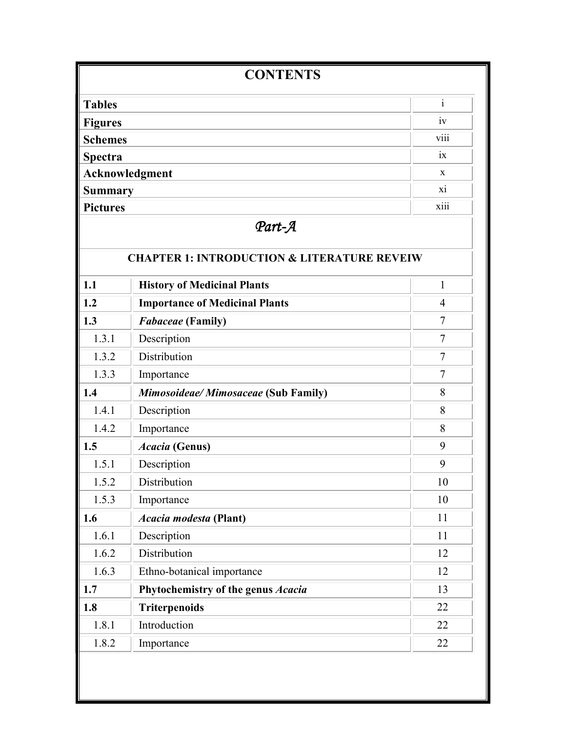| <b>CONTENTS</b> |                                                                  |                |
|-----------------|------------------------------------------------------------------|----------------|
| <b>Tables</b>   |                                                                  | $\mathbf{i}$   |
| <b>Figures</b>  |                                                                  | iv             |
| <b>Schemes</b>  |                                                                  | viii           |
| <b>Spectra</b>  |                                                                  | ix             |
|                 | <b>Acknowledgment</b>                                            | X              |
| <b>Summary</b>  |                                                                  | xi             |
| <b>Pictures</b> |                                                                  | xiii           |
|                 | Part-A<br><b>CHAPTER 1: INTRODUCTION &amp; LITERATURE REVEIW</b> |                |
| 1.1             | <b>History of Medicinal Plants</b>                               | $\mathbf{1}$   |
| 1.2             | <b>Importance of Medicinal Plants</b>                            | $\overline{4}$ |
| 1.3             | <b>Fabaceae</b> (Family)                                         | $\overline{7}$ |
| 1.3.1           | Description                                                      | $\tau$         |
| 1.3.2           | Distribution                                                     | $\tau$         |
| 1.3.3           | Importance                                                       | $\overline{7}$ |
| 1.4             | Mimosoideae/Mimosaceae (Sub Family)                              | 8              |
| 1.4.1           | Description                                                      | 8              |
| 1.4.2           | Importance                                                       | 8              |
| 1.5             | Acacia (Genus)                                                   | 9              |
| 1.5.1           | Description                                                      | 9              |
| 1.5.2           | Distribution                                                     | 10             |
| 1.5.3           | Importance                                                       | 10             |
| 1.6             | Acacia modesta (Plant)                                           | 11             |
| 1.6.1           | Description                                                      | 11             |
| 1.6.2           | Distribution                                                     | 12             |
| 1.6.3           | Ethno-botanical importance                                       | 12             |
| 1.7             | Phytochemistry of the genus Acacia                               | 13             |
| 1.8             | <b>Triterpenoids</b>                                             | 22             |
| 1.8.1           | Introduction                                                     | 22             |
| 1.8.2           | Importance                                                       | 22             |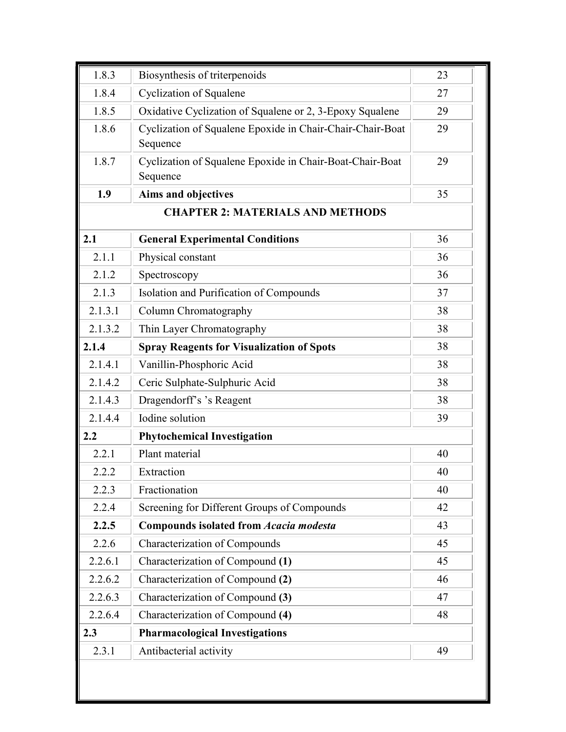| 1.8.3   | Biosynthesis of triterpenoids                                         | 23 |
|---------|-----------------------------------------------------------------------|----|
| 1.8.4   | <b>Cyclization of Squalene</b>                                        | 27 |
| 1.8.5   | Oxidative Cyclization of Squalene or 2, 3-Epoxy Squalene              | 29 |
| 1.8.6   | Cyclization of Squalene Epoxide in Chair-Chair-Chair-Boat<br>Sequence | 29 |
| 1.8.7   | Cyclization of Squalene Epoxide in Chair-Boat-Chair-Boat<br>Sequence  | 29 |
| 1.9     | Aims and objectives                                                   | 35 |
|         | <b>CHAPTER 2: MATERIALS AND METHODS</b>                               |    |
| 2.1     | <b>General Experimental Conditions</b>                                | 36 |
| 2.1.1   | Physical constant                                                     | 36 |
| 2.1.2   | Spectroscopy                                                          | 36 |
| 2.1.3   | Isolation and Purification of Compounds                               | 37 |
| 2.1.3.1 | Column Chromatography                                                 | 38 |
| 2.1.3.2 | Thin Layer Chromatography                                             | 38 |
| 2.1.4   | <b>Spray Reagents for Visualization of Spots</b>                      | 38 |
| 2.1.4.1 | Vanillin-Phosphoric Acid                                              | 38 |
| 2.1.4.2 | Ceric Sulphate-Sulphuric Acid                                         | 38 |
| 2.1.4.3 | Dragendorff's 's Reagent                                              | 38 |
| 2.1.4.4 | Iodine solution                                                       | 39 |
| 2.2     | <b>Phytochemical Investigation</b>                                    |    |
| 2.2.1   | Plant material                                                        | 40 |
| 2.2.2   | Extraction                                                            | 40 |
| 2.2.3   | Fractionation                                                         | 40 |
| 2.2.4   | Screening for Different Groups of Compounds                           | 42 |
| 2.2.5   | Compounds isolated from Acacia modesta                                | 43 |
| 2.2.6   | Characterization of Compounds                                         | 45 |
| 2.2.6.1 | Characterization of Compound (1)                                      | 45 |
| 2.2.6.2 | Characterization of Compound (2)                                      | 46 |
| 2.2.6.3 | Characterization of Compound (3)                                      | 47 |
| 2.2.6.4 | Characterization of Compound (4)                                      | 48 |
| 2.3     | <b>Pharmacological Investigations</b>                                 |    |
| 2.3.1   | Antibacterial activity                                                | 49 |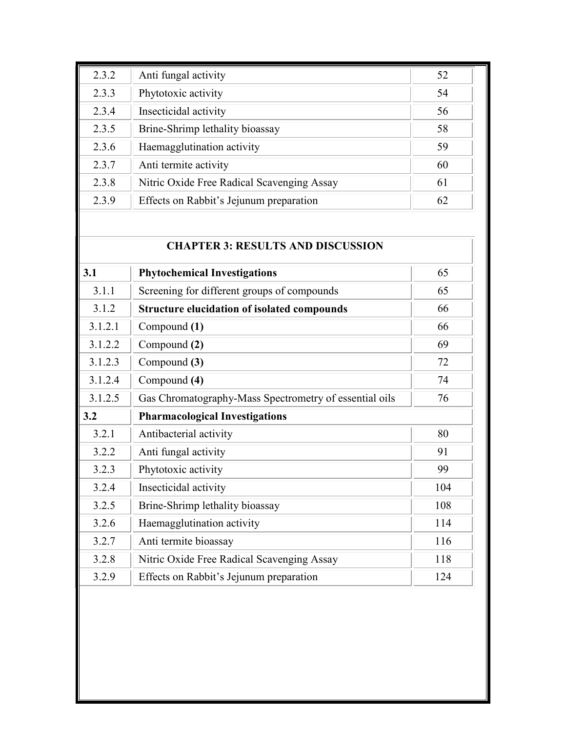| 2.3.2 | Anti fungal activity                       | 52 |
|-------|--------------------------------------------|----|
| 2.3.3 | Phytotoxic activity                        | 54 |
| 2.3.4 | Insecticidal activity                      | 56 |
| 2.3.5 | Brine-Shrimp lethality bioassay            | 58 |
| 2.3.6 | Haemagglutination activity                 | 59 |
| 2.3.7 | Anti termite activity                      | 60 |
| 2.3.8 | Nitric Oxide Free Radical Scavenging Assay | 61 |
| 2.3.9 | Effects on Rabbit's Jejunum preparation    | 62 |

## CHAPTER 3: RESULTS AND DISCUSSION

| <b>Phytochemical Investigations</b>                    | 65  |
|--------------------------------------------------------|-----|
| Screening for different groups of compounds            | 65  |
| <b>Structure elucidation of isolated compounds</b>     | 66  |
| Compound (1)                                           | 66  |
| Compound (2)                                           | 69  |
| Compound (3)                                           | 72  |
| Compound (4)                                           | 74  |
| Gas Chromatography-Mass Spectrometry of essential oils | 76  |
| <b>Pharmacological Investigations</b>                  |     |
| Antibacterial activity                                 | 80  |
| Anti fungal activity                                   | 91  |
| Phytotoxic activity                                    | 99  |
| Insecticidal activity                                  | 104 |
| Brine-Shrimp lethality bioassay                        | 108 |
| Haemagglutination activity                             | 114 |
| Anti termite bioassay                                  | 116 |
| Nitric Oxide Free Radical Scavenging Assay             | 118 |
| Effects on Rabbit's Jejunum preparation                | 124 |
|                                                        |     |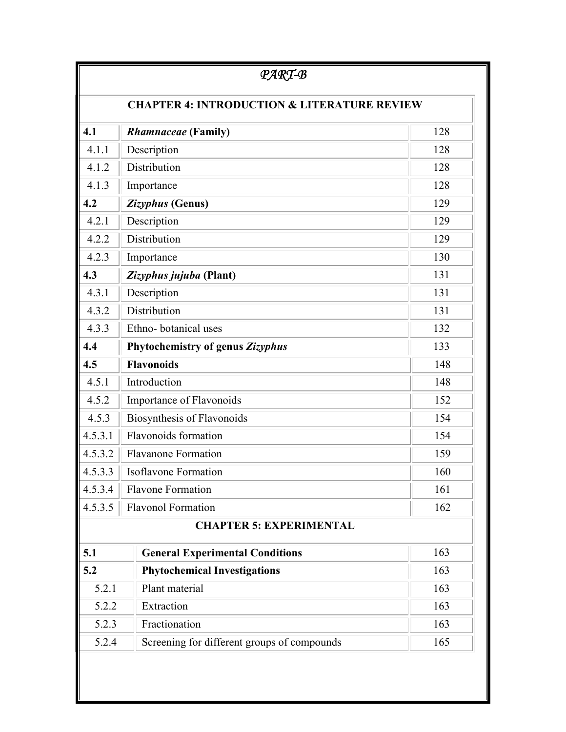| PART-B                                                 |                                             |     |  |
|--------------------------------------------------------|---------------------------------------------|-----|--|
| <b>CHAPTER 4: INTRODUCTION &amp; LITERATURE REVIEW</b> |                                             |     |  |
| 4.1                                                    | <i><b>Rhamnaceae (Family)</b></i>           | 128 |  |
| 4.1.1                                                  | Description                                 | 128 |  |
| 4.1.2                                                  | Distribution                                | 128 |  |
| 4.1.3                                                  | Importance                                  | 128 |  |
| 4.2                                                    | Zizyphus (Genus)                            | 129 |  |
| 4.2.1                                                  | Description                                 | 129 |  |
| 4.2.2                                                  | Distribution                                | 129 |  |
| 4.2.3                                                  | Importance                                  | 130 |  |
| 4.3                                                    | Zizyphus jujuba (Plant)                     | 131 |  |
| 4.3.1                                                  | Description                                 | 131 |  |
| 4.3.2                                                  | Distribution                                | 131 |  |
| 4.3.3                                                  | Ethno-botanical uses                        | 132 |  |
| 4.4                                                    | Phytochemistry of genus Zizyphus            | 133 |  |
| 4.5                                                    | <b>Flavonoids</b>                           | 148 |  |
| 4.5.1                                                  | Introduction                                | 148 |  |
| 4.5.2                                                  | Importance of Flavonoids                    | 152 |  |
| 4.5.3                                                  | Biosynthesis of Flavonoids                  | 154 |  |
| 4.5.3.1                                                | Flavonoids formation                        | 154 |  |
| 4.5.3.2                                                | <b>Flavanone Formation</b>                  | 159 |  |
| 4.5.3.3                                                | <b>Isoflavone Formation</b>                 | 160 |  |
| 4.5.3.4                                                | <b>Flavone Formation</b>                    | 161 |  |
| 4.5.3.5                                                | <b>Flavonol Formation</b>                   | 162 |  |
|                                                        | <b>CHAPTER 5: EXPERIMENTAL</b>              |     |  |
| 5.1                                                    | <b>General Experimental Conditions</b>      | 163 |  |
| 5.2                                                    | <b>Phytochemical Investigations</b>         | 163 |  |
| 5.2.1                                                  | Plant material                              | 163 |  |
| 5.2.2                                                  | Extraction                                  | 163 |  |
| 5.2.3                                                  | Fractionation                               | 163 |  |
| 5.2.4                                                  | Screening for different groups of compounds | 165 |  |
|                                                        |                                             |     |  |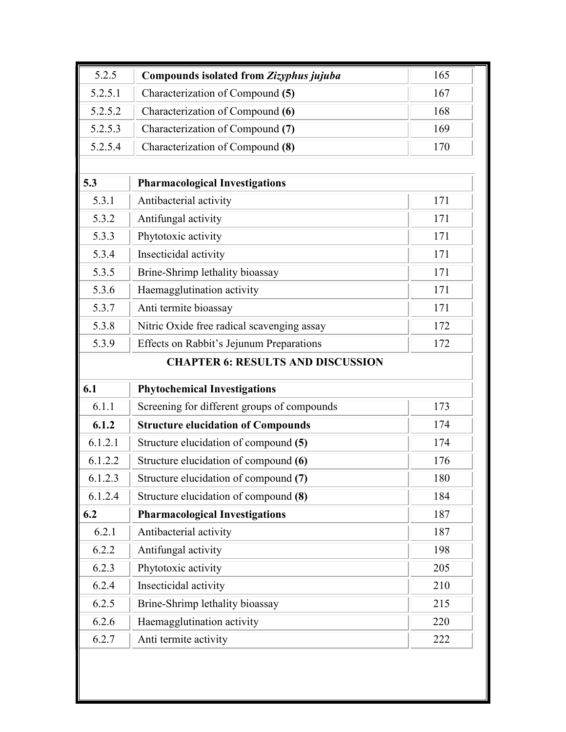| 5.2.5   | Compounds isolated from Zizyphus jujuba     | 165 |
|---------|---------------------------------------------|-----|
| 5.2.5.1 | Characterization of Compound (5)            | 167 |
| 5.2.5.2 | Characterization of Compound (6)            | 168 |
| 5.2.5.3 | Characterization of Compound (7)            | 169 |
| 5.2.5.4 | Characterization of Compound (8)            | 170 |
|         |                                             |     |
| 5.3     | <b>Pharmacological Investigations</b>       |     |
| 5.3.1   | Antibacterial activity                      | 171 |
| 5.3.2   | Antifungal activity                         | 171 |
| 5.3.3   | Phytotoxic activity                         | 171 |
| 5.3.4   | Insecticidal activity                       | 171 |
| 5.3.5   | Brine-Shrimp lethality bioassay             | 171 |
| 5.3.6   | Haemagglutination activity                  | 171 |
| 5.3.7   | Anti termite bioassay                       | 171 |
| 5.3.8   | Nitric Oxide free radical scavenging assay  | 172 |
| 5.3.9   | Effects on Rabbit's Jejunum Preparations    | 172 |
|         | <b>CHAPTER 6: RESULTS AND DISCUSSION</b>    |     |
| 6.1     | <b>Phytochemical Investigations</b>         |     |
| 6.1.1   | Screening for different groups of compounds | 173 |
| 6.1.2   | <b>Structure elucidation of Compounds</b>   | 174 |
| 6.1.2.1 | Structure elucidation of compound (5)       | 174 |
| 6.1.2.2 | Structure elucidation of compound (6)       | 176 |
| 6.1.2.3 | Structure elucidation of compound (7)       | 180 |
| 6.1.2.4 | Structure elucidation of compound (8)       | 184 |
| 6.2     | <b>Pharmacological Investigations</b>       | 187 |
| 6.2.1   | Antibacterial activity                      | 187 |
| 6.2.2   | Antifungal activity                         | 198 |
| 6.2.3   | Phytotoxic activity                         | 205 |
|         |                                             | 210 |
| 6.2.4   | Insecticidal activity                       |     |
| 6.2.5   | Brine-Shrimp lethality bioassay             | 215 |
| 6.2.6   | Haemagglutination activity                  | 220 |